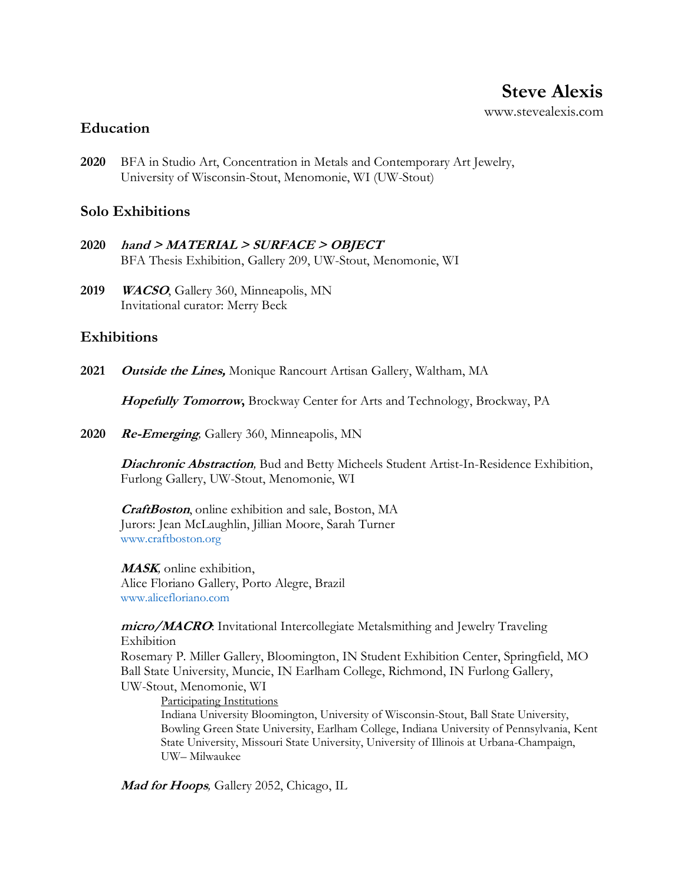### **Education**

**2020** BFA in Studio Art, Concentration in Metals and Contemporary Art Jewelry, University of Wisconsin-Stout, Menomonie, WI (UW-Stout)

### **Solo Exhibitions**

- **2020 hand > MATERIAL > SURFACE > OBJECT** BFA Thesis Exhibition, Gallery 209, UW-Stout, Menomonie, WI
- **2019 WACSO**, Gallery 360, Minneapolis, MN Invitational curator: Merry Beck

## **Exhibitions**

**2021 Outside the Lines,** Monique Rancourt Artisan Gallery, Waltham, MA

**Hopefully Tomorrow,** Brockway Center for Arts and Technology, Brockway, PA

**2020 Re-Emerging***,* Gallery 360, Minneapolis, MN

**Diachronic Abstraction***,* Bud and Betty Micheels Student Artist-In-Residence Exhibition, Furlong Gallery, UW-Stout, Menomonie, WI

**CraftBoston**, online exhibition and sale, Boston, MA Jurors: Jean McLaughlin, Jillian Moore, Sarah Turner [www.craftboston.org](http://www.craftboston.org/)

**MASK***,* online exhibition, Alice Floriano Gallery, Porto Alegre, Brazil [www.alicefloriano.com](http://www.alicefloriano.com/)

**micro/MACRO**: Invitational Intercollegiate Metalsmithing and Jewelry Traveling Exhibition

Rosemary P. Miller Gallery, Bloomington, IN Student Exhibition Center, Springfield, MO Ball State University, Muncie, IN Earlham College, Richmond, IN Furlong Gallery, UW-Stout, Menomonie, WI

Participating Institutions

Indiana University Bloomington, University of Wisconsin-Stout, Ball State University, Bowling Green State University, Earlham College, Indiana University of Pennsylvania, Kent State University, Missouri State University, University of Illinois at Urbana-Champaign, UW– Milwaukee

**Mad for Hoops***,* Gallery 2052, Chicago, IL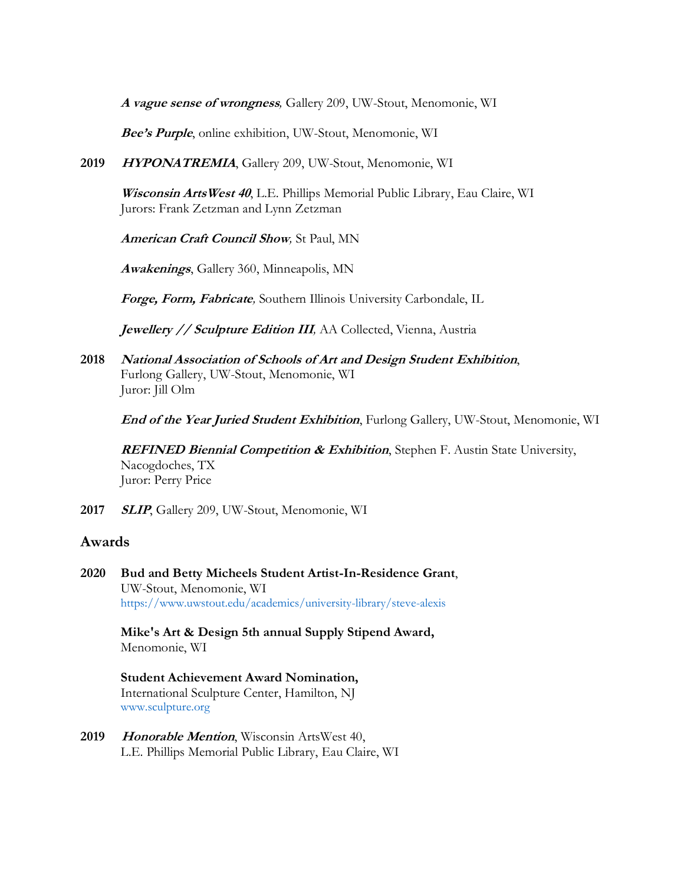**A vague sense of wrongness***,* Gallery 209, UW-Stout, Menomonie, WI

**Bee's Purple**, online exhibition, UW-Stout, Menomonie, WI

**2019 HYPONATREMIA**, Gallery 209, UW-Stout, Menomonie, WI

**Wisconsin ArtsWest 40**, L.E. Phillips Memorial Public Library, Eau Claire, WI Jurors: Frank Zetzman and Lynn Zetzman

**American Craft Council Show***,* St Paul, MN

**Awakenings**, Gallery 360, Minneapolis, MN

**Forge, Form, Fabricate***,* Southern Illinois University Carbondale, IL

**Jewellery // Sculpture Edition III***,* AA Collected, Vienna, Austria

**2018 National Association of Schools of Art and Design Student Exhibition**, Furlong Gallery, UW-Stout, Menomonie, WI Juror: Jill Olm

**End of the Year Juried Student Exhibition**, Furlong Gallery, UW-Stout, Menomonie, WI

**REFINED Biennial Competition & Exhibition**, Stephen F. Austin State University, Nacogdoches, TX Juror: Perry Price

**2017 SLIP**, Gallery 209, UW-Stout, Menomonie, WI

#### **Awards**

**2020 Bud and Betty Micheels Student Artist-In-Residence Grant**, UW-Stout, Menomonie, WI <https://www.uwstout.edu/academics/university-library/steve-alexis>

> **Mike's Art & Design 5th annual Supply Stipend Award,** Menomonie, WI

**Student Achievement Award Nomination,**  International Sculpture Center, Hamilton, NJ [www.sculpture.org](http://www.sculpture.org/)

**2019 Honorable Mention**, Wisconsin ArtsWest 40, L.E. Phillips Memorial Public Library, Eau Claire, WI